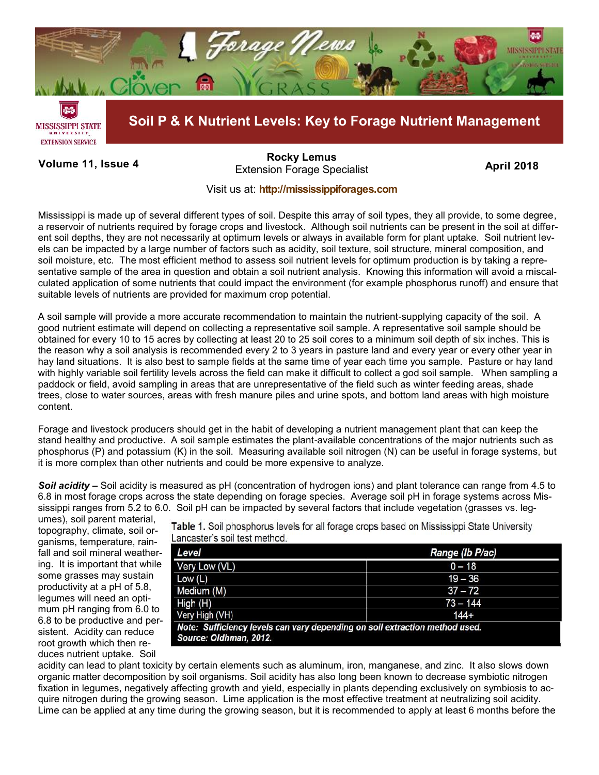

**Volume 11, Issue 4 April 2018** Extension Forage Specialist **[Rocky Lemus](mailto:RLemus@ext.msstate.edu?subject=Forage%20News:%20Janaury%202011)**

## Visit us at: **<http://mississippiforages.com>**

Mississippi is made up of several different types of soil. Despite this array of soil types, they all provide, to some degree, a reservoir of nutrients required by forage crops and livestock. Although soil nutrients can be present in the soil at different soil depths, they are not necessarily at optimum levels or always in available form for plant uptake. Soil nutrient levels can be impacted by a large number of factors such as acidity, soil texture, soil structure, mineral composition, and soil moisture, etc. The most efficient method to assess soil nutrient levels for optimum production is by taking a representative sample of the area in question and obtain a soil nutrient analysis. Knowing this information will avoid a miscalculated application of some nutrients that could impact the environment (for example phosphorus runoff) and ensure that suitable levels of nutrients are provided for maximum crop potential.

A soil sample will provide a more accurate recommendation to maintain the nutrient-supplying capacity of the soil. A good nutrient estimate will depend on collecting a representative soil sample. A representative soil sample should be obtained for every 10 to 15 acres by collecting at least 20 to 25 soil cores to a minimum soil depth of six inches. This is the reason why a soil analysis is recommended every 2 to 3 years in pasture land and every year or every other year in hay land situations. It is also best to sample fields at the same time of year each time you sample. Pasture or hay land with highly variable soil fertility levels across the field can make it difficult to collect a god soil sample. When sampling a paddock or field, avoid sampling in areas that are unrepresentative of the field such as winter feeding areas, shade trees, close to water sources, areas with fresh manure piles and urine spots, and bottom land areas with high moisture content.

Forage and livestock producers should get in the habit of developing a nutrient management plant that can keep the stand healthy and productive. A soil sample estimates the plant-available concentrations of the major nutrients such as phosphorus (P) and potassium (K) in the soil. Measuring available soil nitrogen (N) can be useful in forage systems, but it is more complex than other nutrients and could be more expensive to analyze.

*Soil acidity –* Soil acidity is measured as pH (concentration of hydrogen ions) and plant tolerance can range from 4.5 to 6.8 in most forage crops across the state depending on forage species. Average soil pH in forage systems across Mississippi ranges from 5.2 to 6.0. Soil pH can be impacted by several factors that include vegetation (grasses vs. leg-

umes), soil parent material, topography, climate, soil organisms, temperature, rainfall and soil mineral weathering. It is important that while some grasses may sustain productivity at a pH of 5.8, legumes will need an optimum pH ranging from 6.0 to 6.8 to be productive and persistent. Acidity can reduce root growth which then reduces nutrient uptake. Soil

Table 1. Soil phosphorus levels for all forage crops based on Mississippi State University Lancaster's soil test method.

| Level                                                                                                 | Range (Ib P/ac) |  |  |  |
|-------------------------------------------------------------------------------------------------------|-----------------|--|--|--|
| Very Low (VL)                                                                                         | $0 - 18$        |  |  |  |
| Low(L)                                                                                                | $19 - 36$       |  |  |  |
| Medium (M)                                                                                            | $37 - 72$       |  |  |  |
| High (H)                                                                                              | $73 - 144$      |  |  |  |
| Very High (VH)                                                                                        | $144 +$         |  |  |  |
| Note: Sufficiency levels can vary depending on soil extraction method used.<br>Source: Oldhman, 2012. |                 |  |  |  |

acidity can lead to plant toxicity by certain elements such as aluminum, iron, manganese, and zinc. It also slows down organic matter decomposition by soil organisms. Soil acidity has also long been known to decrease symbiotic nitrogen fixation in legumes, negatively affecting growth and yield, especially in plants depending exclusively on symbiosis to acquire nitrogen during the growing season. Lime application is the most effective treatment at neutralizing soil acidity. Lime can be applied at any time during the growing season, but it is recommended to apply at least 6 months before the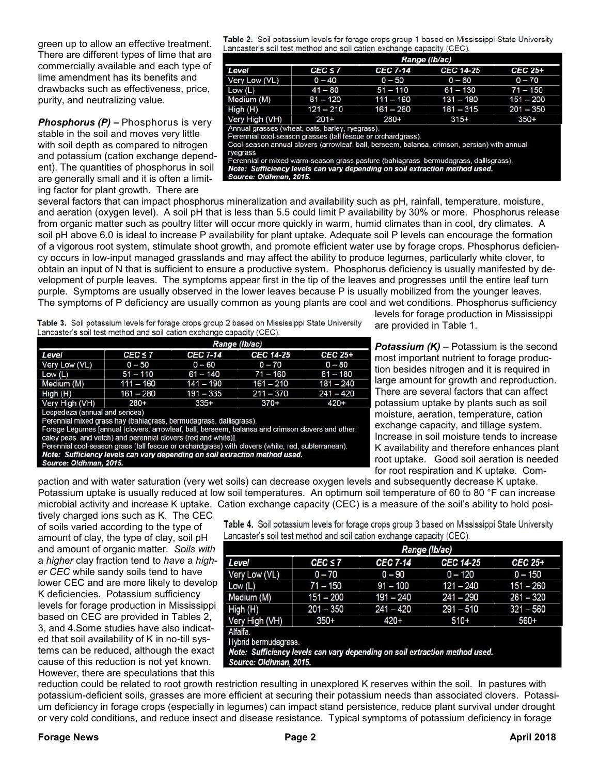green up to allow an effective treatment. There are different types of lime that are commercially available and each type of lime amendment has its benefits and drawbacks such as effectiveness, price, purity, and neutralizing value.

*Phosphorus (P) –* Phosphorus is very stable in the soil and moves very little with soil depth as compared to nitrogen and potassium (cation exchange dependent). The quantities of phosphorus in soil are generally small and it is often a limiting factor for plant growth. There are

Table 2. Soil potassium levels for forage crops group 1 based on Mississippi State University Lancaster's soil test method and soil cation exchange capacity (CEC).

|                                                                                                                                                                                                                                                                                                                                                                                                                               | Range (Ib/ac) |                 |             |             |  |  |
|-------------------------------------------------------------------------------------------------------------------------------------------------------------------------------------------------------------------------------------------------------------------------------------------------------------------------------------------------------------------------------------------------------------------------------|---------------|-----------------|-------------|-------------|--|--|
| Level                                                                                                                                                                                                                                                                                                                                                                                                                         | $CEC \le 7$   | <b>CEC 7-14</b> | CEC 14-25   | CEC 25+     |  |  |
| Very Low (VL)                                                                                                                                                                                                                                                                                                                                                                                                                 | $0 - 40$      | $0 - 50$        | $0 - 60$    | $0 - 70$    |  |  |
| Low $(L)$                                                                                                                                                                                                                                                                                                                                                                                                                     | $41 - 80$     | $51 - 110$      | $61 - 130$  | $71 - 150$  |  |  |
| Medium (M)                                                                                                                                                                                                                                                                                                                                                                                                                    | $81 - 120$    | $111 - 160$     | $131 - 180$ | $151 - 200$ |  |  |
| High (H)                                                                                                                                                                                                                                                                                                                                                                                                                      | $121 - 210$   | $161 - 280$     | $181 - 315$ | $201 - 350$ |  |  |
| Very High (VH)                                                                                                                                                                                                                                                                                                                                                                                                                | $201+$        | $280+$          | $315+$      | $350+$      |  |  |
| Annual grasses (wheat, oats, barley, ryegrass).<br>Perennial cool-season grasses (tall fescue or orchardgrass).<br>Cool-season annual clovers (arrowleaf, ball, berseem, balansa, crimson, persian) with annual<br>ryegrass<br>Perennial or mixed warm-season grass pasture (bahiagrass, bermudagrass, dallisgrass).<br>Note: Sufficiency levels can vary depending on soil extraction method used.<br>Source: Oldhman, 2015. |               |                 |             |             |  |  |

several factors that can impact phosphorus mineralization and availability such as pH, rainfall, temperature, moisture, and aeration (oxygen level). A soil pH that is less than 5.5 could limit P availability by 30% or more. Phosphorus release from organic matter such as poultry litter will occur more quickly in warm, humid climates than in cool, dry climates. A soil pH above 6.0 is ideal to increase P availability for plant uptake. Adequate soil P levels can encourage the formation of a vigorous root system, stimulate shoot growth, and promote efficient water use by forage crops. Phosphorus deficiency occurs in low‐input managed grasslands and may affect the ability to produce legumes, particularly white clover, to obtain an input of N that is sufficient to ensure a productive system. Phosphorus deficiency is usually manifested by development of purple leaves. The symptoms appear first in the tip of the leaves and progresses until the entire leaf turn purple. Symptoms are usually observed in the lower leaves because P is usually mobilized from the younger leaves. The symptoms of P deficiency are usually common as young plants are cool and wet conditions. Phosphorus sufficiency

Table 3. Soil potassium levels for forage crops group 2 based on Mississippi State University Lancaster's soil test method and soil cation exchange capacity (CEC).

|                                | Range (Ib/ac) |                 |                  |             |
|--------------------------------|---------------|-----------------|------------------|-------------|
| Level                          | $CEC \le 7$   | <b>CEC 7-14</b> | <b>CEC 14-25</b> | CEC 25+     |
| Very Low (VL)                  | $0 - 50$      | $0 - 60$        | $0 - 70$         | $0 - 80$    |
| Low (L)                        | $51 - 110$    | $61 - 140$      | $71 - 160$       | $81 - 180$  |
| Medium (M)                     | $111 - 160$   | $141 - 190$     | $161 - 210$      | $181 - 240$ |
| High (H)                       | $161 - 280$   | $191 - 335$     | $211 - 370$      | $241 - 420$ |
| Very High (VH)                 | $280+$        | $335+$          | $370+$           | $420+$      |
| Lespedeza (annual and sericea) |               |                 |                  |             |

Perennial mixed grass hay (bahiagrass, bermudagrass, dallisgrass).<br>Forage Legumes [annual (clovers: arrowleaf, ball, berseem, balansa and crimson clovers and other:<br>caley peas, and vetch) and perennial clovers (red and whi

Perennial cool-season grass (tall fescue or orchardgrass) with clovers (white, red, subterranean). Note: Sufficiency levels can vary depending on soil extraction method used.

Source: Oldhman, 2015.

levels for forage production in Mississippi are provided in Table 1.

*Potassium (K)* – Potassium is the second most important nutrient to forage production besides nitrogen and it is required in large amount for growth and reproduction. There are several factors that can affect potassium uptake by plants such as soil moisture, aeration, temperature, cation exchange capacity, and tillage system. Increase in soil moisture tends to increase K availability and therefore enhances plant root uptake. Good soil aeration is needed for root respiration and K uptake. Com-

paction and with water saturation (very wet soils) can decrease oxygen levels and subsequently decrease K uptake. Potassium uptake is usually reduced at low soil temperatures. An optimum soil temperature of 60 to 80 °F can increase microbial activity and increase K uptake. Cation exchange capacity (CEC) is a measure of the soil's ability to hold posi-

tively charged ions such as K. The CEC of soils varied according to the type of amount of clay, the type of clay, soil pH and amount of organic matter. *Soils with*  a *higher* clay fraction tend to *have* a *higher CEC* while sandy soils tend to have lower CEC and are more likely to develop K deficiencies. Potassium sufficiency levels for forage production in Mississippi based on CEC are provided in Tables 2, 3, and 4.Some studies have also indicated that soil availability of K in no-till systems can be reduced, although the exact cause of this reduction is not yet known. However, there are speculations that this

Table 4. Soil potassium levels for forage crops group 3 based on Mississippi State University Lancaster's soil test method and soil cation exchange capacity (CEC).

|                | Range (Ib/ac) |                 |             |             |
|----------------|---------------|-----------------|-------------|-------------|
| Level          | $CEC \le 7$   | <b>CEC 7-14</b> | CEC 14-25   | CEC 25+     |
| Very Low (VL)  | $0 - 70$      | $0 - 90$        | $0 - 120$   | $0 - 150$   |
| Low(L)         | $71 - 150$    | $91 - 100$      | $121 - 240$ | $151 - 260$ |
| Medium (M)     | $151 - 200$   | $191 - 240$     | $241 - 290$ | $261 - 320$ |
| High (H)       | $201 - 350$   | $241 - 420$     | $291 - 510$ | $321 - 560$ |
| Very High (VH) | $350+$        | 420+            | $510+$      | 560+        |

Alfalfa

Hybrid bermudagrass.

Note: Sufficiency levels can vary depending on soil extraction method used. Source: Oldhman, 2015.

reduction could be related to root growth restriction resulting in unexplored K reserves within the soil. In pastures with potassium-deficient soils, grasses are more efficient at securing their potassium needs than associated clovers. Potassium deficiency in forage crops (especially in legumes) can impact stand persistence, reduce plant survival under drought or very cold conditions, and reduce insect and disease resistance. Typical symptoms of potassium deficiency in forage